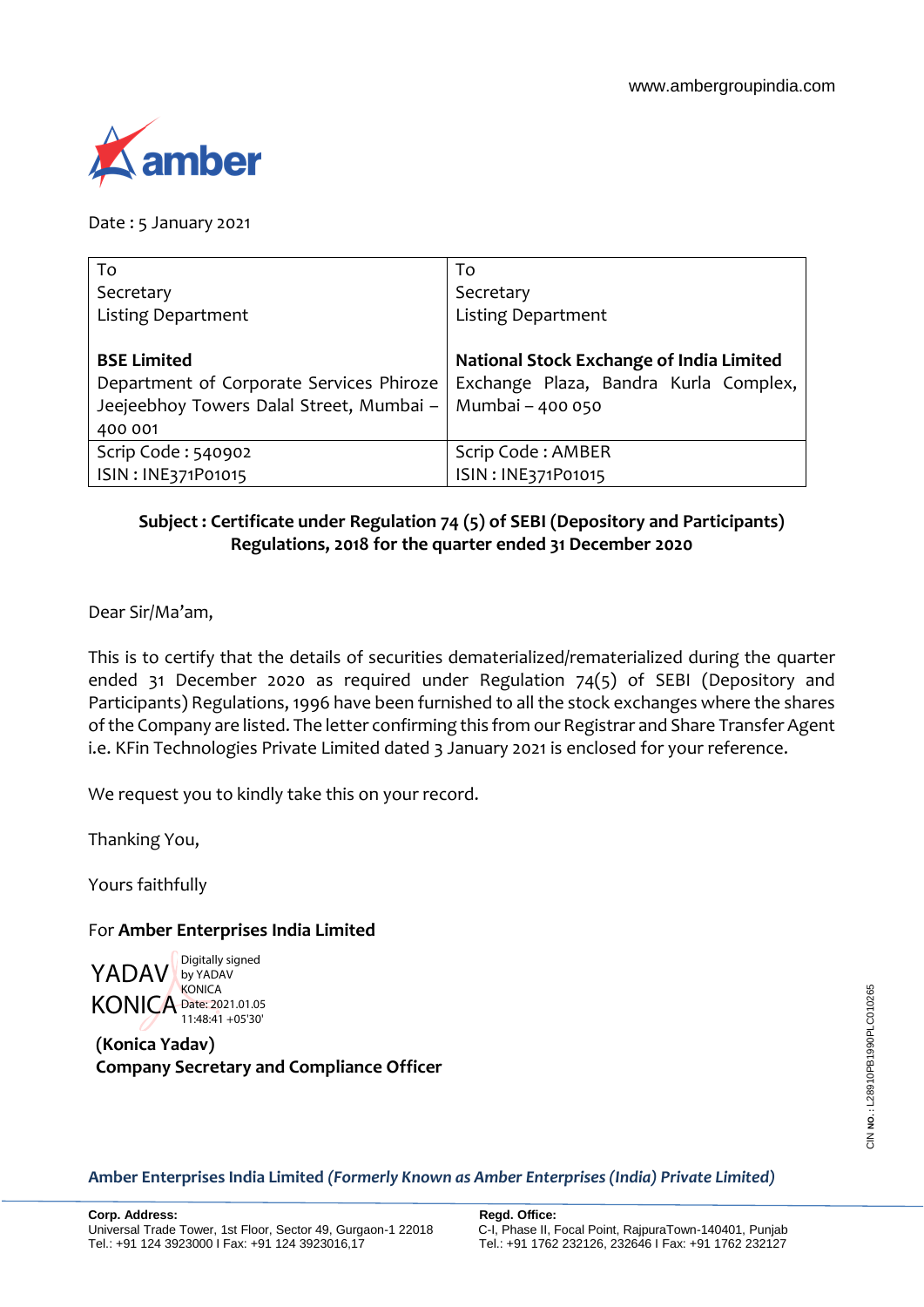

Date : 5 January 2021

| To                                       | To                                       |
|------------------------------------------|------------------------------------------|
| Secretary                                | Secretary                                |
| <b>Listing Department</b>                | <b>Listing Department</b>                |
|                                          |                                          |
| <b>BSE Limited</b>                       | National Stock Exchange of India Limited |
| Department of Corporate Services Phiroze | Exchange Plaza, Bandra Kurla Complex,    |
| Jeejeebhoy Towers Dalal Street, Mumbai - | Mumbai - 400 050                         |
| 400 001                                  |                                          |
| Scrip Code: 540902                       | Scrip Code: AMBER                        |
| ISIN: INE371P01015                       | ISIN: INE371P01015                       |

## **Subject : Certificate under Regulation 74 (5) of SEBI (Depository and Participants) Regulations, 2018 for the quarter ended 31 December 2020**

Dear Sir/Ma'am,

This is to certify that the details of securities dematerialized/rematerialized during the quarter ended 31 December 2020 as required under Regulation 74(5) of SEBI (Depository and Participants) Regulations, 1996 have been furnished to all the stock exchanges where the shares of the Company are listed. The letter confirming this from our Registrar and Share Transfer Agent i.e. KFin Technologies Private Limited dated 3 January 2021 is enclosed for your reference.

We request you to kindly take this on your record.

Thanking You,

Yours faithfully

## For **Amber Enterprises India Limited**

YADAV by YADAV KONICA Date: 2021.01.05 Digitally signed **KONICA** 11:48:41 +05'30'

**(Konica Yadav) Company Secretary and Compliance Officer**

**Amber Enterprises India Limited** *(Formerly Known as Amber Enterprises (India) Private Limited)*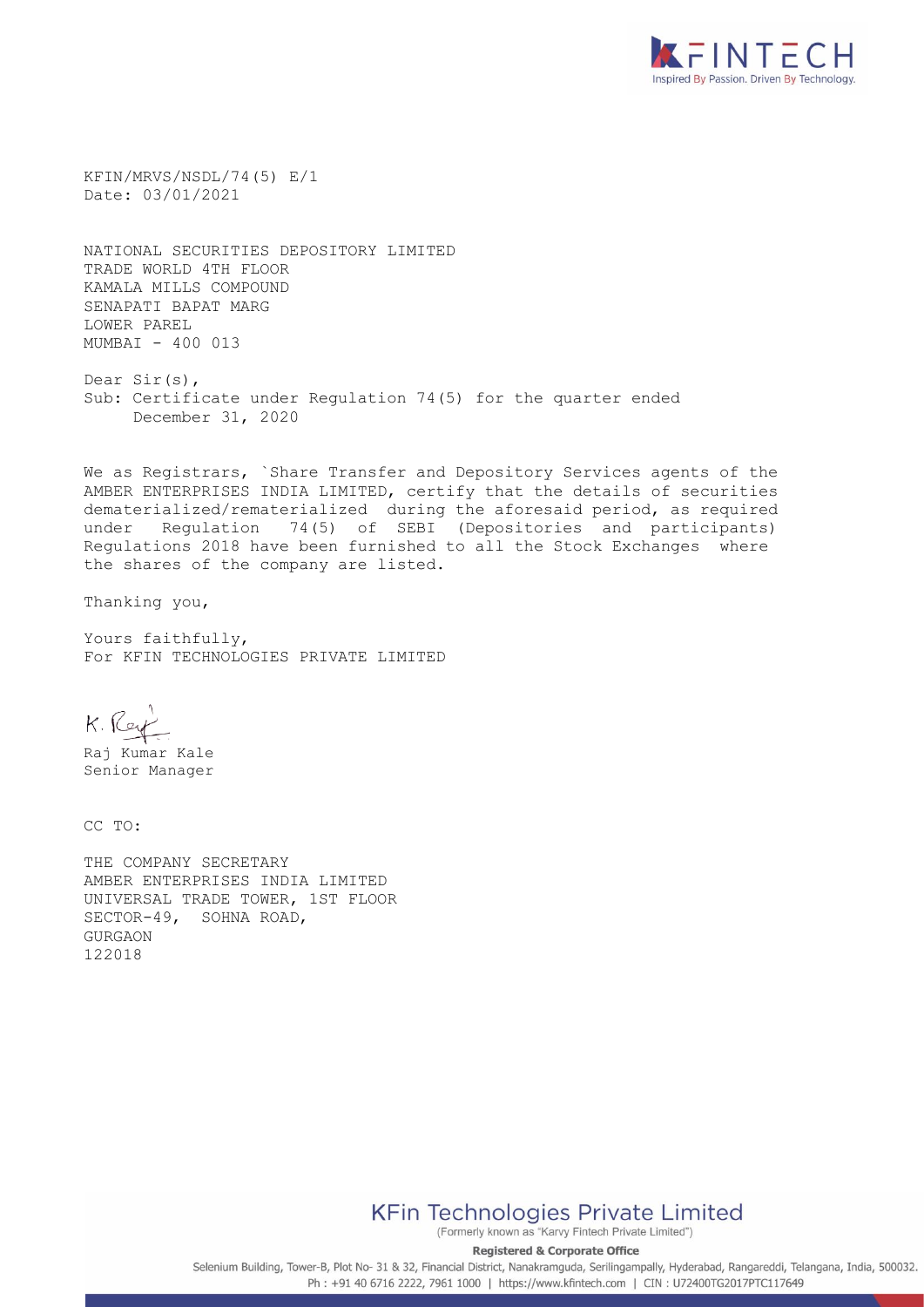

KFIN/MRVS/NSDL/74(5) E/1 Date: 03/01/2021

NATIONAL SECURITIES DEPOSITORY LIMITED TRADE WORLD 4TH FLOOR KAMALA MILLS COMPOUND SENAPATI BAPAT MARG LOWER PAREL MUMBAI - 400 013

Dear Sir(s), Sub: Certificate under Regulation 74(5) for the quarter ended December 31, 2020

We as Registrars, `Share Transfer and Depository Services agents of the AMBER ENTERPRISES INDIA LIMITED, certify that the details of securities dematerialized/rematerialized during the aforesaid period, as required under Regulation 74(5) of SEBI (Depositories and participants) Regulations 2018 have been furnished to all the Stock Exchanges where the shares of the company are listed.

Thanking you,

Yours faithfully, For KFIN TECHNOLOGIES PRIVATE LIMITED

K. Rey

Raj Kumar Kale Senior Manager

CC TO:

THE COMPANY SECRETARY AMBER ENTERPRISES INDIA LIMITED UNIVERSAL TRADE TOWER, 1ST FLOOR SECTOR-49, SOHNA ROAD, GURGAON 122018

**KFin Technologies Private Limited** 

(Formerly known as "Karvy Fintech Private Limited") **Registered & Corporate Office** 

Selenium Building, Tower-B, Plot No- 31 & 32, Financial District, Nanakramguda, Serilingampally, Hyderabad, Rangareddi, Telangana, India, 500032. Ph: +91 40 6716 2222, 7961 1000 | https://www.kfintech.com | CIN: U72400TG2017PTC117649